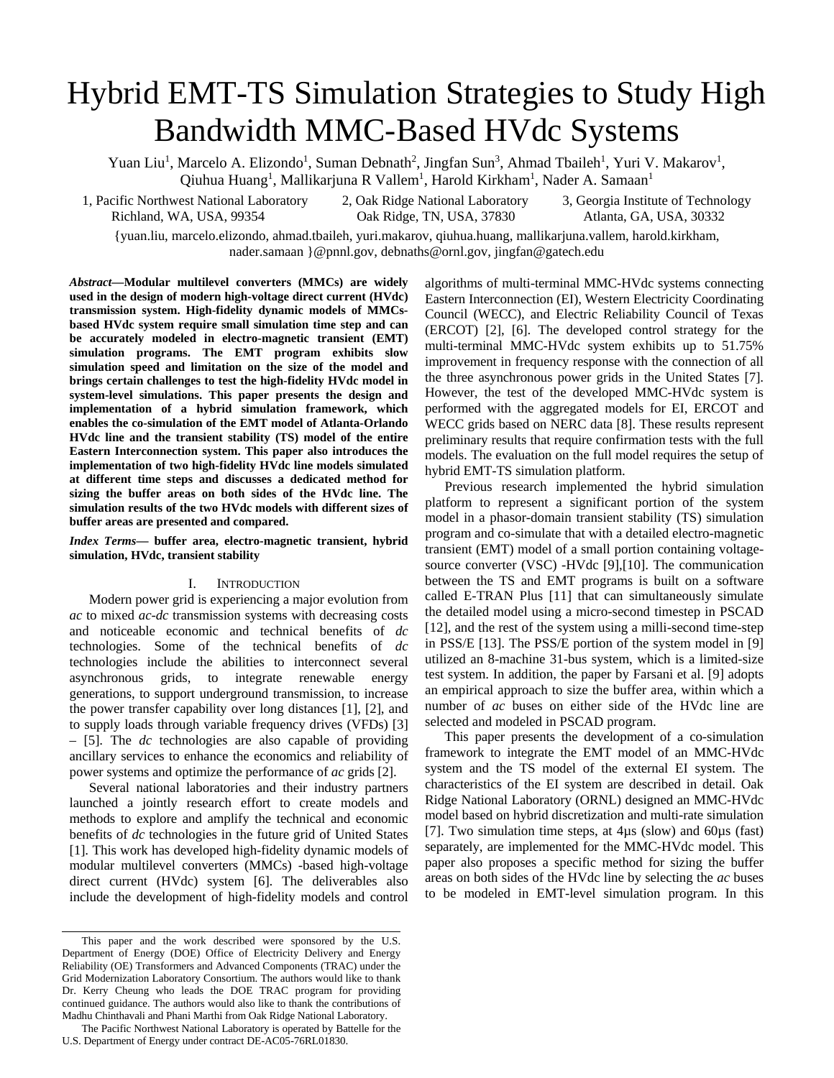# Hybrid EMT-TS Simulation Strategies to Study High Bandwidth MMC-Based HVdc Systems

Yuan Liu<sup>1</sup>, Marcelo A. Elizondo<sup>1</sup>, Suman Debnath<sup>2</sup>, Jingfan Sun<sup>3</sup>, Ahmad Tbaileh<sup>1</sup>, Yuri V. Makarov<sup>1</sup>, Qiuhua Huang<sup>1</sup>, Mallikarjuna R Vallem<sup>1</sup>, Harold Kirkham<sup>1</sup>, Nader A. Samaan<sup>1</sup>

1, Pacific Northwest National Laboratory 2, Oak Ridge National Laboratory 3, Georgia Institute of Technology<br>Richland, WA, USA, 99354 0ak Ridge, TN, USA, 37830 Atlanta, GA, USA, 30332

Oak Ridge, TN, USA, 37830 Atlanta, GA, USA, 30332

{yuan.liu, marcelo.elizondo, ahmad.tbaileh, yuri.makarov, qiuhua.huang, mallikarjuna.vallem, harold.kirkham, nader.samaan }@pnnl.gov, debnaths@ornl.gov, jingfan@gatech.edu

*Abstract***—Modular multilevel converters (MMCs) are widely used in the design of modern high-voltage direct current (HVdc) transmission system. High-fidelity dynamic models of MMCsbased HVdc system require small simulation time step and can be accurately modeled in electro-magnetic transient (EMT) simulation programs. The EMT program exhibits slow simulation speed and limitation on the size of the model and brings certain challenges to test the high-fidelity HVdc model in system-level simulations. This paper presents the design and implementation of a hybrid simulation framework, which enables the co-simulation of the EMT model of Atlanta-Orlando HVdc line and the transient stability (TS) model of the entire Eastern Interconnection system. This paper also introduces the implementation of two high-fidelity HVdc line models simulated at different time steps and discusses a dedicated method for sizing the buffer areas on both sides of the HVdc line. The simulation results of the two HVdc models with different sizes of buffer areas are presented and compared.**

*Index Terms***— buffer area, electro-magnetic transient, hybrid simulation, HVdc, transient stability**

## I. INTRODUCTION

Modern power grid is experiencing a major evolution from *ac* to mixed *ac*-*dc* transmission systems with decreasing costs and noticeable economic and technical benefits of *dc* technologies. Some of the technical benefits of *dc* technologies include the abilities to interconnect several asynchronous grids, to integrate renewable energy generations, to support underground transmission, to increase the power transfer capability over long distances [1], [2], and to supply loads through variable frequency drives (VFDs) [3] – [5]. The *dc* technologies are also capable of providing ancillary services to enhance the economics and reliability of power systems and optimize the performance of *ac* grids [2].

Several national laboratories and their industry partners launched a jointly research effort to create models and methods to explore and amplify the technical and economic benefits of *dc* technologies in the future grid of United States [1]. This work has developed high-fidelity dynamic models of modular multilevel converters (MMCs) -based high-voltage direct current (HVdc) system [6]. The deliverables also include the development of high-fidelity models and control algorithms of multi-terminal MMC-HVdc systems connecting Eastern Interconnection (EI), Western Electricity Coordinating Council (WECC), and Electric Reliability Council of Texas (ERCOT) [2], [6]. The developed control strategy for the multi-terminal MMC-HVdc system exhibits up to 51.75% improvement in frequency response with the connection of all the three asynchronous power grids in the United States [7]. However, the test of the developed MMC-HVdc system is performed with the aggregated models for EI, ERCOT and WECC grids based on NERC data [8]. These results represent preliminary results that require confirmation tests with the full models. The evaluation on the full model requires the setup of hybrid EMT-TS simulation platform.

Previous research implemented the hybrid simulation platform to represent a significant portion of the system model in a phasor-domain transient stability (TS) simulation program and co-simulate that with a detailed electro-magnetic transient (EMT) model of a small portion containing voltagesource converter (VSC) -HVdc [9],[10]. The communication between the TS and EMT programs is built on a software called E-TRAN Plus [11] that can simultaneously simulate the detailed model using a micro-second timestep in PSCAD [12], and the rest of the system using a milli-second time-step in PSS/E [13]. The PSS/E portion of the system model in [9] utilized an 8-machine 31-bus system, which is a limited-size test system. In addition, the paper by Farsani et al. [9] adopts an empirical approach to size the buffer area, within which a number of *ac* buses on either side of the HVdc line are selected and modeled in PSCAD program.

This paper presents the development of a co-simulation framework to integrate the EMT model of an MMC-HVdc system and the TS model of the external EI system. The characteristics of the EI system are described in detail. Oak Ridge National Laboratory (ORNL) designed an MMC-HVdc model based on hybrid discretization and multi-rate simulation [7]. Two simulation time steps, at 4µs (slow) and 60µs (fast) separately, are implemented for the MMC-HVdc model. This paper also proposes a specific method for sizing the buffer areas on both sides of the HVdc line by selecting the *ac* buses to be modeled in EMT-level simulation program. In this

This paper and the work described were sponsored by the U.S. Department of Energy (DOE) Office of Electricity Delivery and Energy Reliability (OE) Transformers and Advanced Components (TRAC) under the Grid Modernization Laboratory Consortium. The authors would like to thank Dr. Kerry Cheung who leads the DOE TRAC program for providing continued guidance. The authors would also like to thank the contributions of Madhu Chinthavali and Phani Marthi from Oak Ridge National Laboratory.

The Pacific Northwest National Laboratory is operated by Battelle for the U.S. Department of Energy under contract DE-AC05-76RL01830.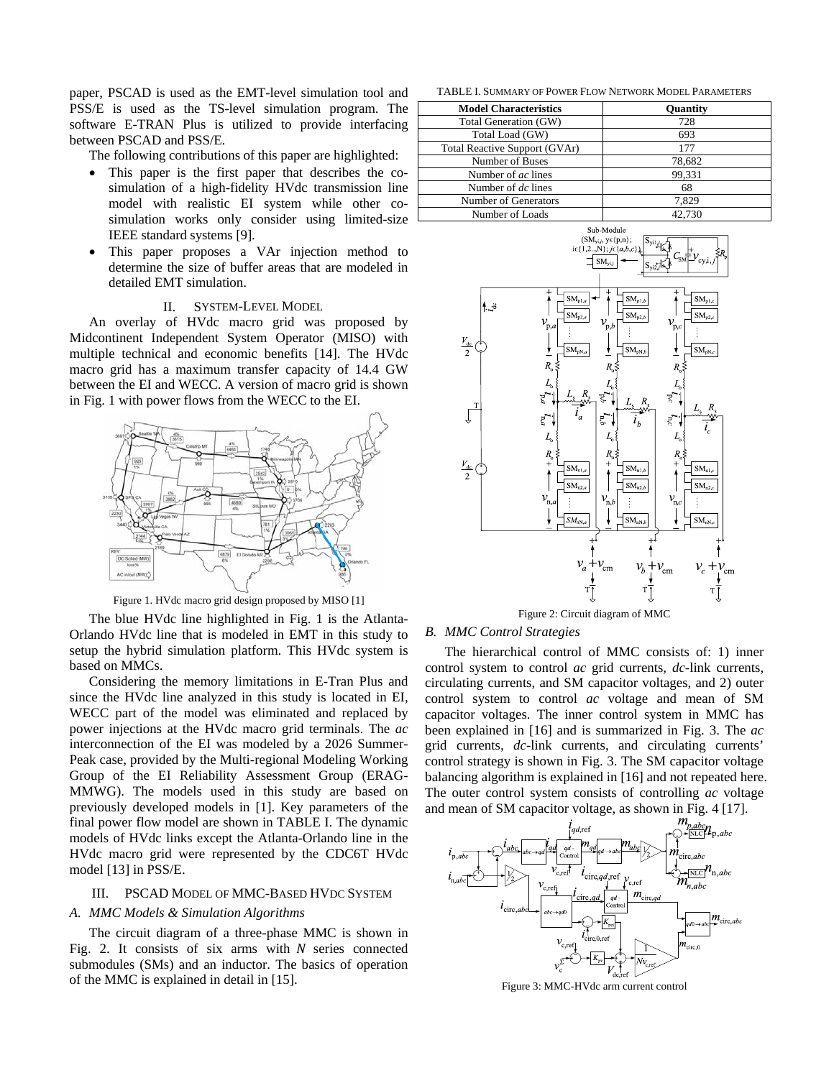paper, PSCAD is used as the EMT-level simulation tool and PSS/E is used as the TS-level simulation program. The software E-TRAN Plus is utilized to provide interfacing between PSCAD and PSS/E.

The following contributions of this paper are highlighted:

- This paper is the first paper that describes the cosimulation of a high-fidelity HVdc transmission line model with realistic EI system while other cosimulation works only consider using limited-size IEEE standard systems [9].
- This paper proposes a VAr injection method to determine the size of buffer areas that are modeled in detailed EMT simulation.

### II. SYSTEM-LEVEL MODEL

An overlay of HVdc macro grid was proposed by Midcontinent Independent System Operator (MISO) with multiple technical and economic benefits [14]. The HVdc macro grid has a maximum transfer capacity of 14.4 GW between the EI and WECC. A version of macro grid is shown in Fig. 1 with power flows from the WECC to the EI.



Figure 1. HVdc macro grid design proposed by MISO [1]

The blue HVdc line highlighted in Fig. 1 is the Atlanta-Orlando HVdc line that is modeled in EMT in this study to setup the hybrid simulation platform. This HVdc system is based on MMCs.

Considering the memory limitations in E-Tran Plus and since the HVdc line analyzed in this study is located in EI, WECC part of the model was eliminated and replaced by power injections at the HVdc macro grid terminals. The *ac* interconnection of the EI was modeled by a 2026 Summer-Peak case, provided by the Multi-regional Modeling Working Group of the EI Reliability Assessment Group (ERAG-MMWG). The models used in this study are based on previously developed models in [1]. Key parameters of the final power flow model are shown in TABLE I. The dynamic models of HVdc links except the Atlanta-Orlando line in the HVdc macro grid were represented by the CDC6T HVdc model [13] in PSS/E.

# III. PSCAD MODEL OF MMC-BASED HVDC SYSTEM

# *A. MMC Models & Simulation Algorithms*

The circuit diagram of a three-phase MMC is shown in Fig. 2. It consists of six arms with  $N$  series connected submodules (SMs) and an inductor. The basics of operation of the MMC is explained in detail in [15].

TABLE I. SUMMARY OF POWER FLOW NETWORK MODEL PARAMETERS

| <b>Model Characteristics</b>  | <b>Ouantity</b> |
|-------------------------------|-----------------|
| Total Generation (GW)         | 728             |
| Total Load (GW)               | 693             |
| Total Reactive Support (GVAr) | 177             |
| Number of Buses               | 78.682          |
| Number of ac lines            | 99.331          |
| Number of dc lines            | 68              |
| Number of Generators          | 7.829           |
| Number of Loads               | 42.730          |



Figure 2: Circuit diagram of MMC

# *B. MMC Control Strategies*

The hierarchical control of MMC consists of: 1) inner control system to control *ac* grid currents, *dc*-link currents, circulating currents, and SM capacitor voltages, and 2) outer control system to control *ac* voltage and mean of SM capacitor voltages. The inner control system in MMC has been explained in [16] and is summarized in Fig. 3. The *ac* grid currents, *dc*-link currents, and circulating currents' control strategy is shown in Fig. 3. The SM capacitor voltage balancing algorithm is explained in [16] and not repeated here. The outer control system consists of controlling *ac* voltage



Figure 3: MMC-HVdc arm current control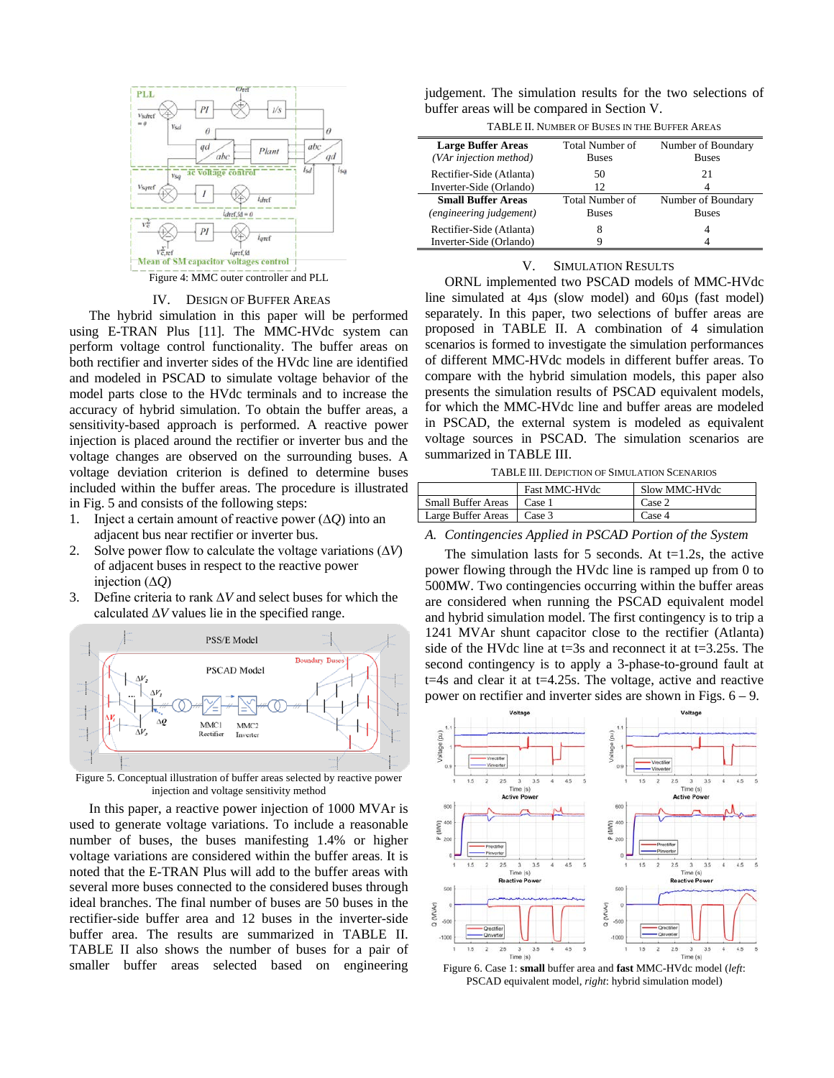

#### IV. DESIGN OF BUFFER AREAS

The hybrid simulation in this paper will be performed using E-TRAN Plus [11]. The MMC-HVdc system can perform voltage control functionality. The buffer areas on both rectifier and inverter sides of the HVdc line are identified and modeled in PSCAD to simulate voltage behavior of the model parts close to the HVdc terminals and to increase the accuracy of hybrid simulation. To obtain the buffer areas, a sensitivity-based approach is performed. A reactive power injection is placed around the rectifier or inverter bus and the voltage changes are observed on the surrounding buses. A voltage deviation criterion is defined to determine buses included within the buffer areas. The procedure is illustrated in Fig. 5 and consists of the following steps:

- 1. Inject a certain amount of reactive power (∆*Q*) into an adjacent bus near rectifier or inverter bus.
- 2. Solve power flow to calculate the voltage variations (∆*V*) of adjacent buses in respect to the reactive power injection (∆*Q*)
- 3. Define criteria to rank ∆*V* and select buses for which the calculated  $\Delta V$  values lie in the specified range.



Figure 5. Conceptual illustration of buffer areas selected by reactive power injection and voltage sensitivity method

In this paper, a reactive power injection of 1000 MVAr is used to generate voltage variations. To include a reasonable number of buses, the buses manifesting 1.4% or higher voltage variations are considered within the buffer areas. It is noted that the E-TRAN Plus will add to the buffer areas with several more buses connected to the considered buses through ideal branches. The final number of buses are 50 buses in the rectifier-side buffer area and 12 buses in the inverter-side buffer area. The results are summarized in TABLE II. TABLE II also shows the number of buses for a pair of smaller buffer areas selected based on engineering

judgement. The simulation results for the two selections of buffer areas will be compared in Section V.

TABLE II. NUMBER OF BUSES IN THE BUFFER AREAS

| Total Number of | Number of Boundary |  |
|-----------------|--------------------|--|
|                 | <b>Buses</b>       |  |
| 50              | 21                 |  |
| 12              |                    |  |
| Total Number of | Number of Boundary |  |
| <b>Buses</b>    | <b>Buses</b>       |  |
| 8               | 4                  |  |
|                 |                    |  |
|                 | <b>Buses</b>       |  |

# V. SIMULATION RESULTS

ORNL implemented two PSCAD models of MMC-HVdc line simulated at 4µs (slow model) and 60µs (fast model) separately. In this paper, two selections of buffer areas are proposed in TABLE II. A combination of 4 simulation scenarios is formed to investigate the simulation performances of different MMC-HVdc models in different buffer areas. To compare with the hybrid simulation models, this paper also presents the simulation results of PSCAD equivalent models, for which the MMC-HVdc line and buffer areas are modeled in PSCAD, the external system is modeled as equivalent voltage sources in PSCAD. The simulation scenarios are summarized in TABLE III.

TABLE III. DEPICTION OF SIMULATION SCENARIOS

|                           | <b>Fast MMC-HVdc</b> | Slow MMC-HVdc   |
|---------------------------|----------------------|-----------------|
| <b>Small Buffer Areas</b> | Case 1               | $\text{Case} 2$ |
| Large Buffer Areas        | Case 3               | $\text{Case} 4$ |

#### *A. Contingencies Applied in PSCAD Portion of the System*

The simulation lasts for 5 seconds. At  $t=1.2$ s, the active power flowing through the HVdc line is ramped up from 0 to 500MW. Two contingencies occurring within the buffer areas are considered when running the PSCAD equivalent model and hybrid simulation model. The first contingency is to trip a 1241 MVAr shunt capacitor close to the rectifier (Atlanta) side of the HVdc line at t=3s and reconnect it at t=3.25s. The second contingency is to apply a 3-phase-to-ground fault at t=4s and clear it at t=4.25s. The voltage, active and reactive power on rectifier and inverter sides are shown in Figs. 6 – 9.



Figure 6. Case 1: **small** buffer area and **fast** MMC-HVdc model (*left*: PSCAD equivalent model, *right*: hybrid simulation model)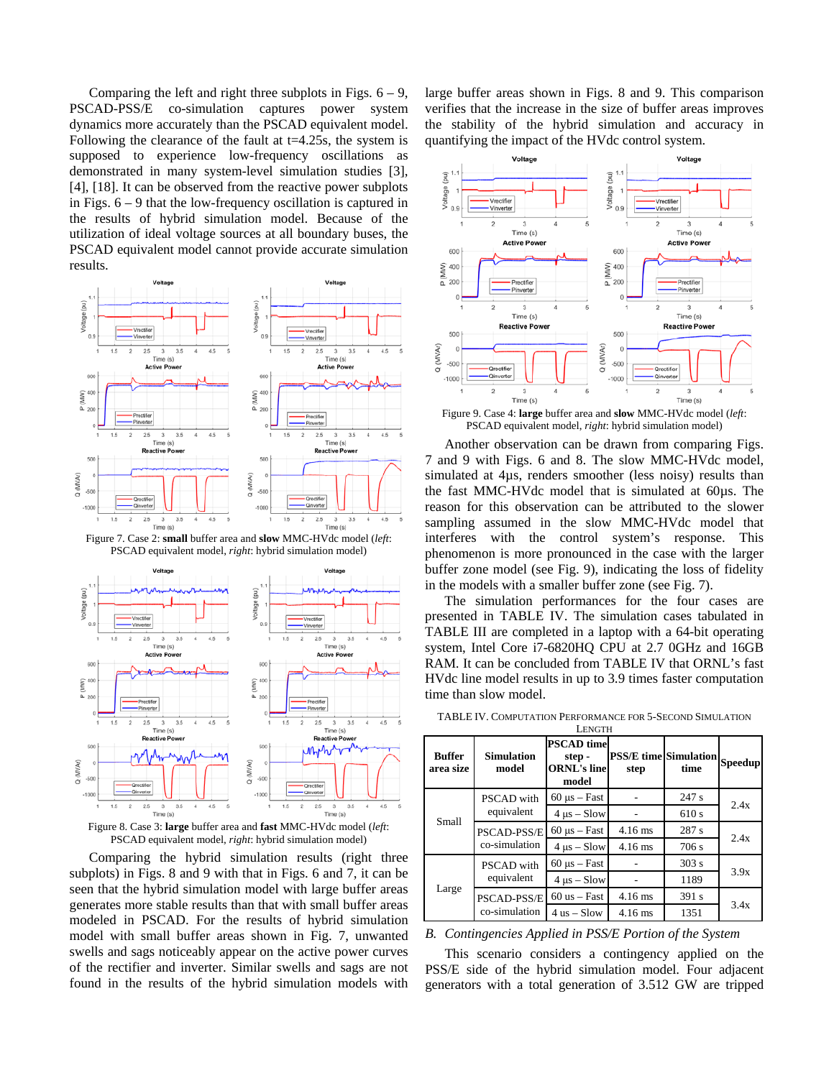Comparing the left and right three subplots in Figs.  $6 - 9$ , PSCAD-PSS/E co-simulation captures power system dynamics more accurately than the PSCAD equivalent model. Following the clearance of the fault at  $t=4.25$ s, the system is supposed to experience low-frequency oscillations as demonstrated in many system-level simulation studies [3], [4], [18]. It can be observed from the reactive power subplots in Figs. 6 – 9 that the low-frequency oscillation is captured in the results of hybrid simulation model. Because of the utilization of ideal voltage sources at all boundary buses, the PSCAD equivalent model cannot provide accurate simulation results.



Figure 7. Case 2: **small** buffer area and **slow** MMC-HVdc model (*left*: PSCAD equivalent model, *right*: hybrid simulation model)



Figure 8. Case 3: **large** buffer area and **fast** MMC-HVdc model (*left*: PSCAD equivalent model, *right*: hybrid simulation model)

Comparing the hybrid simulation results (right three subplots) in Figs. 8 and 9 with that in Figs. 6 and 7, it can be seen that the hybrid simulation model with large buffer areas generates more stable results than that with small buffer areas modeled in PSCAD. For the results of hybrid simulation model with small buffer areas shown in Fig. 7, unwanted swells and sags noticeably appear on the active power curves of the rectifier and inverter. Similar swells and sags are not found in the results of the hybrid simulation models with

large buffer areas shown in Figs. 8 and 9. This comparison verifies that the increase in the size of buffer areas improves the stability of the hybrid simulation and accuracy in quantifying the impact of the HVdc control system.



Figure 9. Case 4: **large** buffer area and **slow** MMC-HVdc model (*left*: PSCAD equivalent model, *right*: hybrid simulation model)

Another observation can be drawn from comparing Figs. 7 and 9 with Figs. 6 and 8. The slow MMC-HVdc model, simulated at 4µs, renders smoother (less noisy) results than the fast MMC-HVdc model that is simulated at 60µs. The reason for this observation can be attributed to the slower sampling assumed in the slow MMC-HVdc model that interferes with the control system's response. This phenomenon is more pronounced in the case with the larger buffer zone model (see Fig. 9), indicating the loss of fidelity in the models with a smaller buffer zone (see Fig. 7).

The simulation performances for the four cases are presented in TABLE IV. The simulation cases tabulated in TABLE III are completed in a laptop with a 64-bit operating system, Intel Core i7-6820HQ CPU at 2.7 0GHz and 16GB RAM. It can be concluded from TABLE IV that ORNL's fast HVdc line model results in up to 3.9 times faster computation time than slow model.

| <b>LENGTH</b>              |                                     |                                                           |                                      |       |                |  |  |  |
|----------------------------|-------------------------------------|-----------------------------------------------------------|--------------------------------------|-------|----------------|--|--|--|
| <b>Buffer</b><br>area size | <b>Simulation</b><br>model          | <b>PSCAD</b> time<br>step-<br><b>ORNL's line</b><br>model | <b>PSS/E</b> time Simulation<br>step | time  | <b>Speedup</b> |  |  |  |
| Small                      | <b>PSCAD</b> with<br>equivalent     | $60 \mu s - Fast$                                         |                                      | 247 s | 2.4x           |  |  |  |
|                            |                                     | $4 \mu s - Slow$                                          |                                      | 610 s |                |  |  |  |
|                            | <b>PSCAD-PSS/E</b><br>co-simulation | $60 \text{ }\mu\text{s} - \text{Fast}$                    | $4.16$ ms                            | 287 s | 2.4x           |  |  |  |
|                            |                                     | $4 \text{ }\mu\text{s} - \text{Slow}$                     | $4.16$ ms                            | 706 s |                |  |  |  |
| Large                      | <b>PSCAD</b> with<br>equivalent     | $60 \mu s - Fast$                                         |                                      | 303 s | 3.9x           |  |  |  |
|                            |                                     | $4 \mu s - Slow$                                          |                                      | 1189  |                |  |  |  |
|                            | <b>PSCAD-PSS/E</b><br>co-simulation | $60$ us $-$ Fast                                          | $4.16$ ms                            | 391 s | 3.4x           |  |  |  |
|                            |                                     | $4$ us $-$ Slow                                           | $4.16$ ms                            | 1351  |                |  |  |  |

TABLE IV. COMPUTATION PERFORMANCE FOR 5-SECOND SIMULATION

*B. Contingencies Applied in PSS/E Portion of the System*

This scenario considers a contingency applied on the PSS/E side of the hybrid simulation model. Four adjacent generators with a total generation of 3.512 GW are tripped